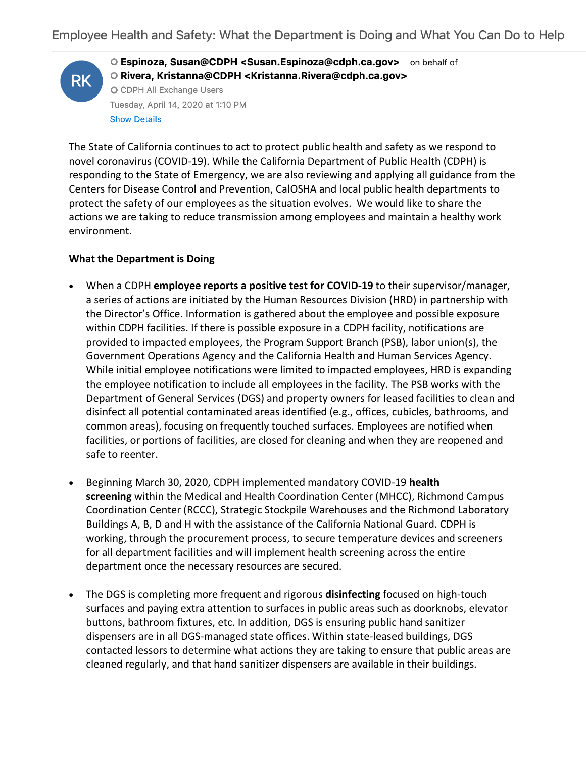

O Espinoza, Susan@CDPH <Susan.Espinoza@cdph.ca.gov> on behalf of O Rivera, Kristanna@CDPH <Kristanna.Rivera@cdph.ca.gov> O CDPH All Exchange Users Tuesday, April 14, 2020 at 1:10 PM **Show Details** 

The State of California continues to act to protect public health and safety as we respond to novel coronavirus (COVID-19). While the California Department of Public Health (CDPH) is responding to the State of Emergency, we are also reviewing and applying all guidance from the Centers for Disease Control and Prevention, CalOSHA and local public health departments to protect the safety of our employees as the situation evolves. We would like to share the actions we are taking to reduce transmission among employees and maintain a healthy work environment.

## **What the Department is Doing**

- When a CDPH **employee reports a positive test for COVID-19** to their supervisor/manager, a series of actions are initiated by the Human Resources Division (HRD) in partnership with the Director's Office. Information is gathered about the employee and possible exposure within CDPH facilities. If there is possible exposure in a CDPH facility, notifications are provided to impacted employees, the Program Support Branch (PSB), labor union(s), the Government Operations Agency and the California Health and Human Services Agency. While initial employee notifications were limited to impacted employees, HRD is expanding the employee notification to include all employees in the facility. The PSB works with the Department of General Services (DGS) and property owners for leased facilities to clean and disinfect all potential contaminated areas identified (e.g., offices, cubicles, bathrooms, and common areas), focusing on frequently touched surfaces. Employees are notified when facilities, or portions of facilities, are closed for cleaning and when they are reopened and safe to reenter.
- Beginning March 30, 2020, CDPH implemented mandatory COVID-19 **health screening** within the Medical and Health Coordination Center (MHCC), Richmond Campus Coordination Center (RCCC), Strategic Stockpile Warehouses and the Richmond Laboratory Buildings A, B, D and H with the assistance of the California National Guard. CDPH is working, through the procurement process, to secure temperature devices and screeners for all department facilities and will implement health screening across the entire department once the necessary resources are secured.
- The DGS is completing more frequent and rigorous **disinfecting** focused on high-touch surfaces and paying extra attention to surfaces in public areas such as doorknobs, elevator buttons, bathroom fixtures, etc. In addition, DGS is ensuring public hand sanitizer dispensers are in all DGS-managed state offices. Within state-leased buildings, DGS contacted lessors to determine what actions they are taking to ensure that public areas are cleaned regularly, and that hand sanitizer dispensers are available in their buildings.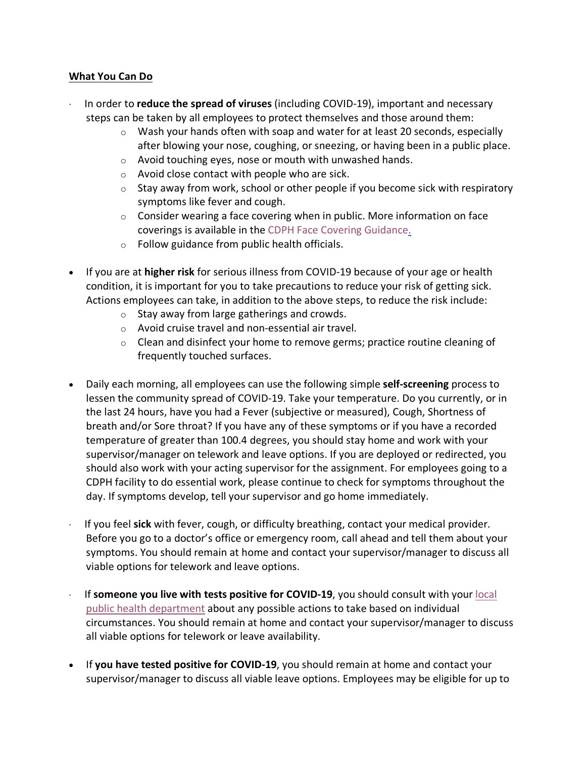## **What You Can Do**

- · In order to **reduce the spread of viruses** (including COVID-19), important and necessary steps can be taken by all employees to protect themselves and those around them:
	- $\circ$  Wash your hands often with soap and water for at least 20 seconds, especially after blowing your nose, coughing, or sneezing, or having been in a public place.
	- $\circ$  Avoid touching eyes, nose or mouth with unwashed hands.
	- o Avoid close contact with people who are sick.
	- $\circ$  Stay away from work, school or other people if you become sick with respiratory symptoms like fever and cough.
	- $\circ$  Consider wearing a face covering when in public. More information on face coverings is available in the CDPH Face Covering Guidance.
	- o Follow guidance from public health officials.
- If you are at **higher risk** for serious illness from COVID-19 because of your age or health condition, it is important for you to take precautions to reduce your risk of getting sick. Actions employees can take, in addition to the above steps, to reduce the risk include:
	- $\circ$  Stay away from large gatherings and crowds.
	- o Avoid cruise travel and non-essential air travel.
	- $\circ$  Clean and disinfect your home to remove germs; practice routine cleaning of frequently touched surfaces.
- Daily each morning, all employees can use the following simple **self-screening** process to lessen the community spread of COVID-19. Take your temperature. Do you currently, or in the last 24 hours, have you had a Fever (subjective or measured), Cough, Shortness of breath and/or Sore throat? If you have any of these symptoms or if you have a recorded temperature of greater than 100.4 degrees, you should stay home and work with your supervisor/manager on telework and leave options. If you are deployed or redirected, you should also work with your acting supervisor for the assignment. For employees going to a CDPH facility to do essential work, please continue to check for symptoms throughout the day. If symptoms develop, tell your supervisor and go home immediately.
- · If you feel **sick** with fever, cough, or difficulty breathing, contact your medical provider. Before you go to a doctor's office or emergency room, call ahead and tell them about your symptoms. You should remain at home and contact your supervisor/manager to discuss all viable options for telework and leave options.
- If someone you live with tests positive for COVID-19, you should consult with your local public health department about any possible actions to take based on individual circumstances. You should remain at home and contact your supervisor/manager to discuss all viable options for telework or leave availability.
- If **you have tested positive for COVID-19**, you should remain at home and contact your supervisor/manager to discuss all viable leave options. Employees may be eligible for up to